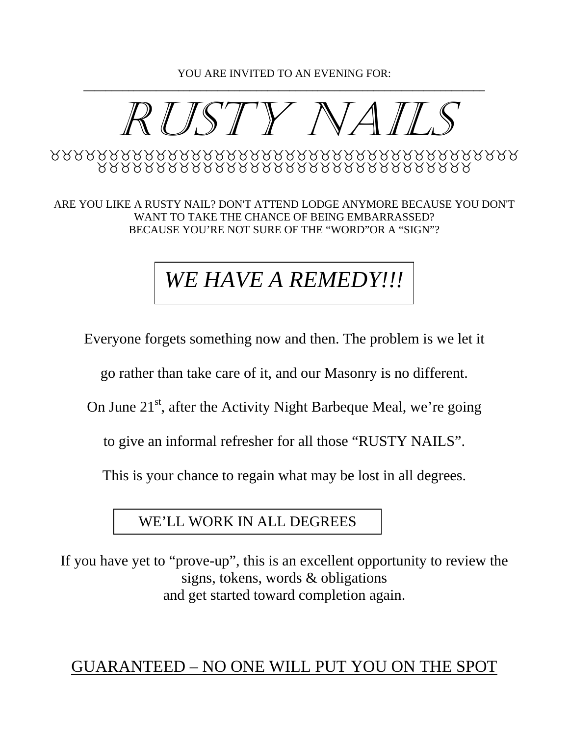YOU ARE INVITED TO AN EVENING FOR: **\_\_\_\_\_\_\_\_\_\_\_\_\_\_\_\_\_\_\_\_\_\_\_\_\_\_\_\_\_\_\_\_\_\_\_\_\_\_\_\_\_\_\_\_\_\_\_\_\_\_\_\_\_\_\_\_\_\_\_\_\_\_\_\_\_\_\_\_\_\_\_\_** 



ARE YOU LIKE A RUSTY NAIL? DON'T ATTEND LODGE ANYMORE BECAUSE YOU DON'T WANT TO TAKE THE CHANCE OF BEING EMBARRASSED? BECAUSE YOU'RE NOT SURE OF THE "WORD"OR A "SIGN"?

# *WE HAVE A REMEDY!!!*

Everyone forgets something now and then. The problem is we let it

go rather than take care of it, and our Masonry is no different.

On June  $21<sup>st</sup>$ , after the Activity Night Barbeque Meal, we're going

to give an informal refresher for all those "RUSTY NAILS".

This is your chance to regain what may be lost in all degrees.

### WE'LL WORK IN ALL DEGREES

If you have yet to "prove-up", this is an excellent opportunity to review the signs, tokens, words & obligations and get started toward completion again.

## GUARANTEED – NO ONE WILL PUT YOU ON THE SPOT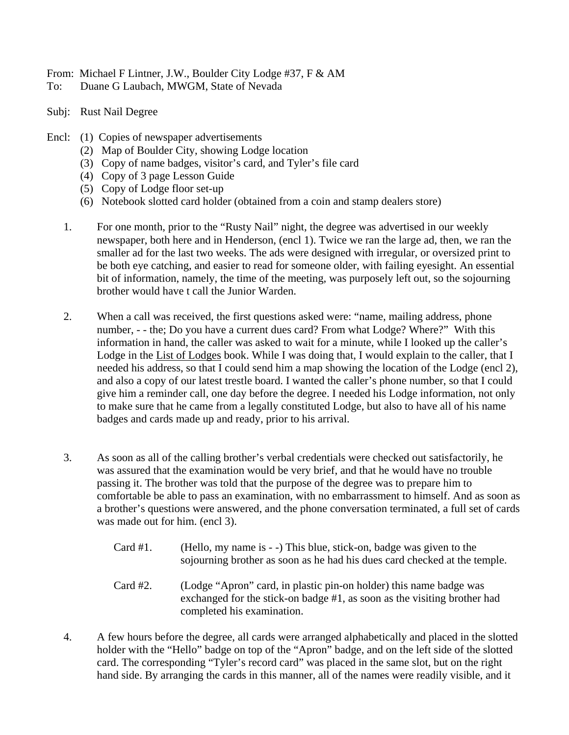From: Michael F Lintner, J.W., Boulder City Lodge #37, F & AM

- To: Duane G Laubach, MWGM, State of Nevada
- Subj: Rust Nail Degree
- Encl: (1) Copies of newspaper advertisements
	- (2) Map of Boulder City, showing Lodge location
	- (3) Copy of name badges, visitor's card, and Tyler's file card
	- (4) Copy of 3 page Lesson Guide
	- (5) Copy of Lodge floor set-up
	- (6) Notebook slotted card holder (obtained from a coin and stamp dealers store)
	- 1. For one month, prior to the "Rusty Nail" night, the degree was advertised in our weekly newspaper, both here and in Henderson, (encl 1). Twice we ran the large ad, then, we ran the smaller ad for the last two weeks. The ads were designed with irregular, or oversized print to be both eye catching, and easier to read for someone older, with failing eyesight. An essential bit of information, namely, the time of the meeting, was purposely left out, so the sojourning brother would have t call the Junior Warden.
	- 2. When a call was received, the first questions asked were: "name, mailing address, phone number, - - the; Do you have a current dues card? From what Lodge? Where?" With this information in hand, the caller was asked to wait for a minute, while I looked up the caller's Lodge in the List of Lodges book. While I was doing that, I would explain to the caller, that I needed his address, so that I could send him a map showing the location of the Lodge (encl 2), and also a copy of our latest trestle board. I wanted the caller's phone number, so that I could give him a reminder call, one day before the degree. I needed his Lodge information, not only to make sure that he came from a legally constituted Lodge, but also to have all of his name badges and cards made up and ready, prior to his arrival.
	- 3. As soon as all of the calling brother's verbal credentials were checked out satisfactorily, he was assured that the examination would be very brief, and that he would have no trouble passing it. The brother was told that the purpose of the degree was to prepare him to comfortable be able to pass an examination, with no embarrassment to himself. And as soon as a brother's questions were answered, and the phone conversation terminated, a full set of cards was made out for him. (encl 3).
		- Card #1. (Hello, my name is -) This blue, stick-on, badge was given to the sojourning brother as soon as he had his dues card checked at the temple.
		- Card #2. (Lodge "Apron" card, in plastic pin-on holder) this name badge was exchanged for the stick-on badge #1, as soon as the visiting brother had completed his examination.
	- 4. A few hours before the degree, all cards were arranged alphabetically and placed in the slotted holder with the "Hello" badge on top of the "Apron" badge, and on the left side of the slotted card. The corresponding "Tyler's record card" was placed in the same slot, but on the right hand side. By arranging the cards in this manner, all of the names were readily visible, and it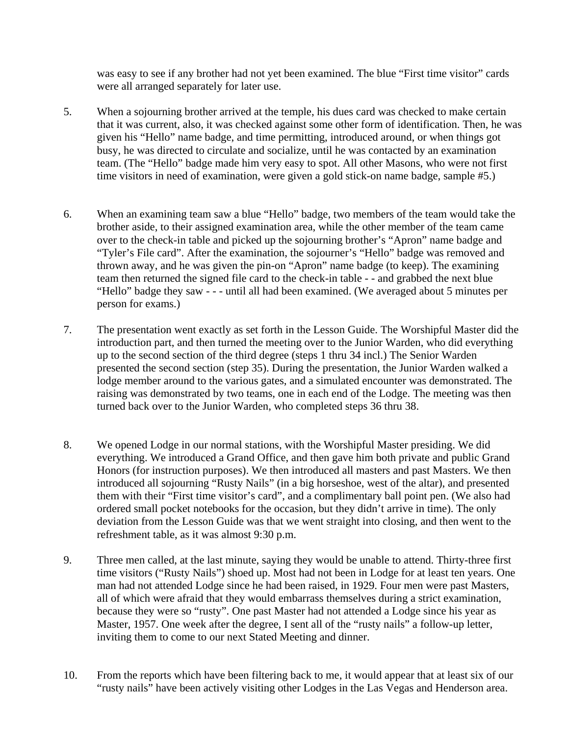was easy to see if any brother had not yet been examined. The blue "First time visitor" cards were all arranged separately for later use.

- 5. When a sojourning brother arrived at the temple, his dues card was checked to make certain that it was current, also, it was checked against some other form of identification. Then, he was given his "Hello" name badge, and time permitting, introduced around, or when things got busy, he was directed to circulate and socialize, until he was contacted by an examination team. (The "Hello" badge made him very easy to spot. All other Masons, who were not first time visitors in need of examination, were given a gold stick-on name badge, sample #5.)
- 6. When an examining team saw a blue "Hello" badge, two members of the team would take the brother aside, to their assigned examination area, while the other member of the team came over to the check-in table and picked up the sojourning brother's "Apron" name badge and "Tyler's File card". After the examination, the sojourner's "Hello" badge was removed and thrown away, and he was given the pin-on "Apron" name badge (to keep). The examining team then returned the signed file card to the check-in table - - and grabbed the next blue "Hello" badge they saw - - - until all had been examined. (We averaged about 5 minutes per person for exams.)
- 7. The presentation went exactly as set forth in the Lesson Guide. The Worshipful Master did the introduction part, and then turned the meeting over to the Junior Warden, who did everything up to the second section of the third degree (steps 1 thru 34 incl.) The Senior Warden presented the second section (step 35). During the presentation, the Junior Warden walked a lodge member around to the various gates, and a simulated encounter was demonstrated. The raising was demonstrated by two teams, one in each end of the Lodge. The meeting was then turned back over to the Junior Warden, who completed steps 36 thru 38.
- 8. We opened Lodge in our normal stations, with the Worshipful Master presiding. We did everything. We introduced a Grand Office, and then gave him both private and public Grand Honors (for instruction purposes). We then introduced all masters and past Masters. We then introduced all sojourning "Rusty Nails" (in a big horseshoe, west of the altar), and presented them with their "First time visitor's card", and a complimentary ball point pen. (We also had ordered small pocket notebooks for the occasion, but they didn't arrive in time). The only deviation from the Lesson Guide was that we went straight into closing, and then went to the refreshment table, as it was almost 9:30 p.m.
- 9. Three men called, at the last minute, saying they would be unable to attend. Thirty-three first time visitors ("Rusty Nails") shoed up. Most had not been in Lodge for at least ten years. One man had not attended Lodge since he had been raised, in 1929. Four men were past Masters, all of which were afraid that they would embarrass themselves during a strict examination, because they were so "rusty". One past Master had not attended a Lodge since his year as Master, 1957. One week after the degree, I sent all of the "rusty nails" a follow-up letter, inviting them to come to our next Stated Meeting and dinner.
- 10. From the reports which have been filtering back to me, it would appear that at least six of our "rusty nails" have been actively visiting other Lodges in the Las Vegas and Henderson area.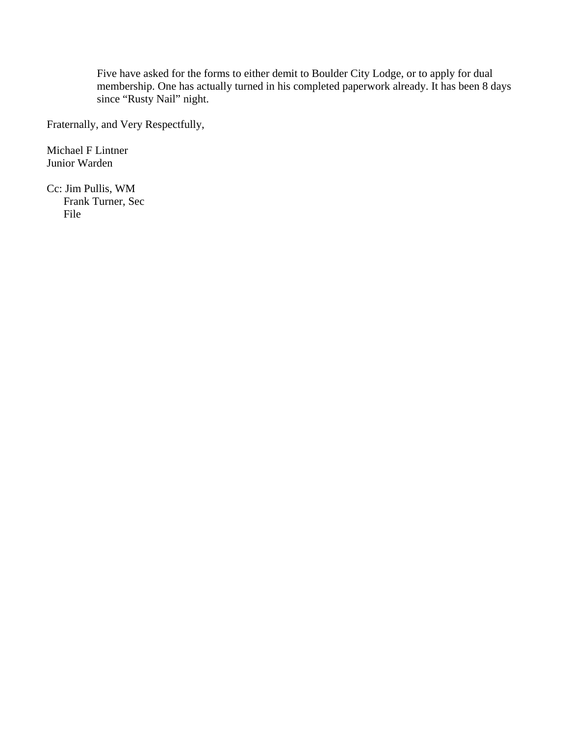Five have asked for the forms to either demit to Boulder City Lodge, or to apply for dual membership. One has actually turned in his completed paperwork already. It has been 8 days since "Rusty Nail" night.

Fraternally, and Very Respectfully,

Michael F Lintner Junior Warden

Cc: Jim Pullis, WM Frank Turner, Sec File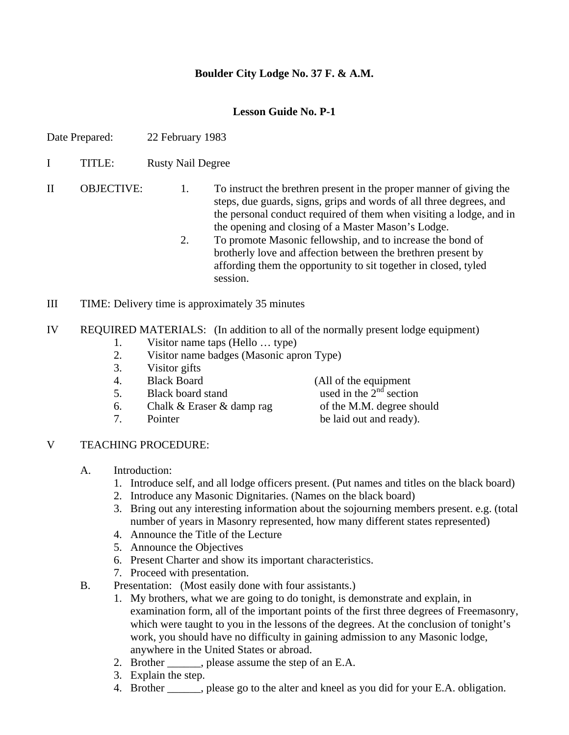### **Boulder City Lodge No. 37 F. & A.M.**

#### **Lesson Guide No. P-1**

- Date Prepared: 22 February 1983
- I TITLE: Rusty Nail Degree

II OBJECTIVE: 1. To instruct the brethren present in the proper manner of giving the steps, due guards, signs, grips and words of all three degrees, and the personal conduct required of them when visiting a lodge, and in the opening and closing of a Master Mason's Lodge.

- 2. To promote Masonic fellowship, and to increase the bond of brotherly love and affection between the brethren present by affording them the opportunity to sit together in closed, tyled session.
- III TIME: Delivery time is approximately 35 minutes
- IV REQUIRED MATERIALS: (In addition to all of the normally present lodge equipment)
	- 1. Visitor name taps (Hello … type)
	- 2. Visitor name badges (Masonic apron Type)
	- 3. Visitor gifts
	-
	-
	- 6. Chalk  $&$  Eraser  $&$  damp rag of the M.M. degree should
	-

4. Black Board (All of the equipment 5. Black board stand used in the  $2<sup>nd</sup>$  section 7. Pointer be laid out and ready).

- V TEACHING PROCEDURE:
	- A. Introduction:
		- 1. Introduce self, and all lodge officers present. (Put names and titles on the black board)
		- 2. Introduce any Masonic Dignitaries. (Names on the black board)
		- 3. Bring out any interesting information about the sojourning members present. e.g. (total number of years in Masonry represented, how many different states represented)
		- 4. Announce the Title of the Lecture
		- 5. Announce the Objectives
		- 6. Present Charter and show its important characteristics.
		- 7. Proceed with presentation.
	- B. Presentation: (Most easily done with four assistants.)
		- 1. My brothers, what we are going to do tonight, is demonstrate and explain, in examination form, all of the important points of the first three degrees of Freemasonry, which were taught to you in the lessons of the degrees. At the conclusion of tonight's work, you should have no difficulty in gaining admission to any Masonic lodge, anywhere in the United States or abroad.
		- 2. Brother \_\_\_\_\_\_, please assume the step of an E.A.
		- 3. Explain the step.
		- 4. Brother \_\_\_\_\_\_, please go to the alter and kneel as you did for your E.A. obligation.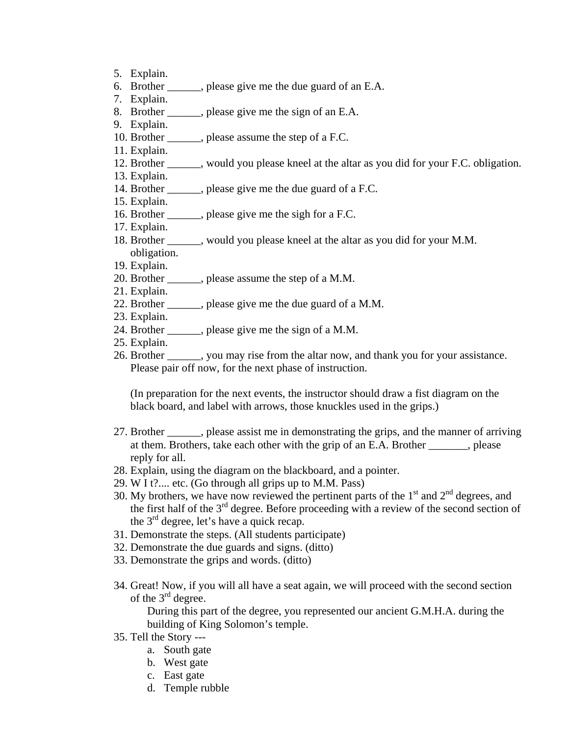- 5. Explain.
- 6. Brother \_\_\_\_\_\_, please give me the due guard of an E.A.
- 7. Explain.
- 8. Brother \_\_\_\_\_\_, please give me the sign of an E.A.
- 9. Explain.

11. Explain.

- 10. Brother \_\_\_\_\_\_, please assume the step of a F.C.
- 12. Brother \_\_\_\_\_\_, would you please kneel at the altar as you did for your F.C. obligation.
- 13. Explain.
- 14. Brother \_\_\_\_\_\_, please give me the due guard of a F.C.
- 15. Explain.
- 16. Brother \_\_\_\_\_\_, please give me the sigh for a F.C.
- 17. Explain.
- 18. Brother \_\_\_\_\_\_, would you please kneel at the altar as you did for your M.M. obligation.
- 19. Explain.
- 20. Brother \_\_\_\_\_\_, please assume the step of a M.M.
- 21. Explain.
- 22. Brother \_\_\_\_\_\_, please give me the due guard of a M.M.
- 23. Explain.
- 24. Brother \_\_\_\_\_\_, please give me the sign of a M.M.
- 25. Explain.
- 26. Brother \_\_\_\_\_\_, you may rise from the altar now, and thank you for your assistance. Please pair off now, for the next phase of instruction.

(In preparation for the next events, the instructor should draw a fist diagram on the black board, and label with arrows, those knuckles used in the grips.)

- 27. Brother \_\_\_\_\_\_, please assist me in demonstrating the grips, and the manner of arriving at them. Brothers, take each other with the grip of an E.A. Brother , please reply for all.
- 28. Explain, using the diagram on the blackboard, and a pointer.
- 29. W I t?.... etc. (Go through all grips up to M.M. Pass)
- 30. My brothers, we have now reviewed the pertinent parts of the  $1<sup>st</sup>$  and  $2<sup>nd</sup>$  degrees, and the first half of the  $3<sup>rd</sup>$  degree. Before proceeding with a review of the second section of the  $3<sup>rd</sup>$  degree, let's have a quick recap.
- 31. Demonstrate the steps. (All students participate)
- 32. Demonstrate the due guards and signs. (ditto)
- 33. Demonstrate the grips and words. (ditto)
- 34. Great! Now, if you will all have a seat again, we will proceed with the second section of the  $3<sup>rd</sup>$  degree.

During this part of the degree, you represented our ancient G.M.H.A. during the building of King Solomon's temple.

- 35. Tell the Story --
	- a. South gate
	- b. West gate
	- c. East gate
	- d. Temple rubble